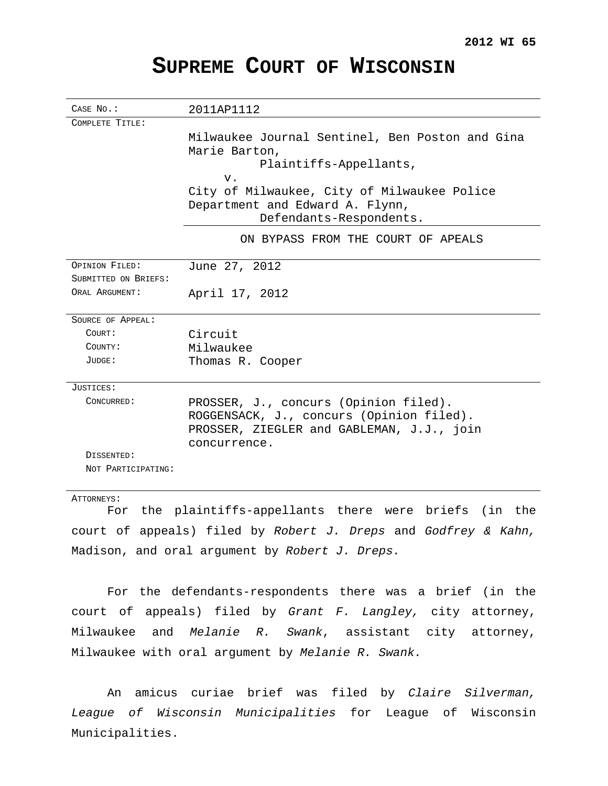# **SUPREME COURT OF WISCONSIN**

| CASE No.:             | 2011AP1112                                      |
|-----------------------|-------------------------------------------------|
| COMPLETE TITLE:       |                                                 |
|                       | Milwaukee Journal Sentinel, Ben Poston and Gina |
|                       | Marie Barton,                                   |
|                       | Plaintiffs-Appellants,                          |
|                       | V.                                              |
|                       | City of Milwaukee, City of Milwaukee Police     |
|                       | Department and Edward A. Flynn,                 |
|                       | Defendants-Respondents.                         |
|                       | ON BYPASS FROM THE COURT OF APEALS              |
|                       |                                                 |
| <b>OPINION FILED:</b> | June 27, 2012                                   |
| SUBMITTED ON BRIEFS:  |                                                 |
| ORAL ARGUMENT:        | April 17, 2012                                  |
|                       |                                                 |
| SOURCE OF APPEAL:     |                                                 |
| COURT:                | Circuit                                         |
| COUNTY:               | Milwaukee                                       |
| JUDGE:                | Thomas R. Cooper                                |
| JUSTICES:             |                                                 |
| CONCURRED:            | PROSSER, J., concurs (Opinion filed).           |
|                       | ROGGENSACK, J., concurs (Opinion filed).        |
|                       | PROSSER, ZIEGLER and GABLEMAN, J.J., join       |
|                       | concurrence.                                    |
| DISSENTED:            |                                                 |
| NOT PARTICIPATING:    |                                                 |
|                       |                                                 |

ATTORNEYS:

For the plaintiffs-appellants there were briefs (in the court of appeals) filed by Robert J. Dreps and Godfrey & Kahn, Madison, and oral argument by Robert  $J.$  Dreps.

For the defendants-respondents there was a brief (in the court of appeals) filed by Grant F. Langley, city attorney, Milwaukee and Melanie R. Swank, assistant city attorney, Milwaukee with oral argument by Melanie R. Swank.

An amicus curiae brief was filed by Claire Silverman, League of Wisconsin Municipalities for League of Wisconsin Municipalities.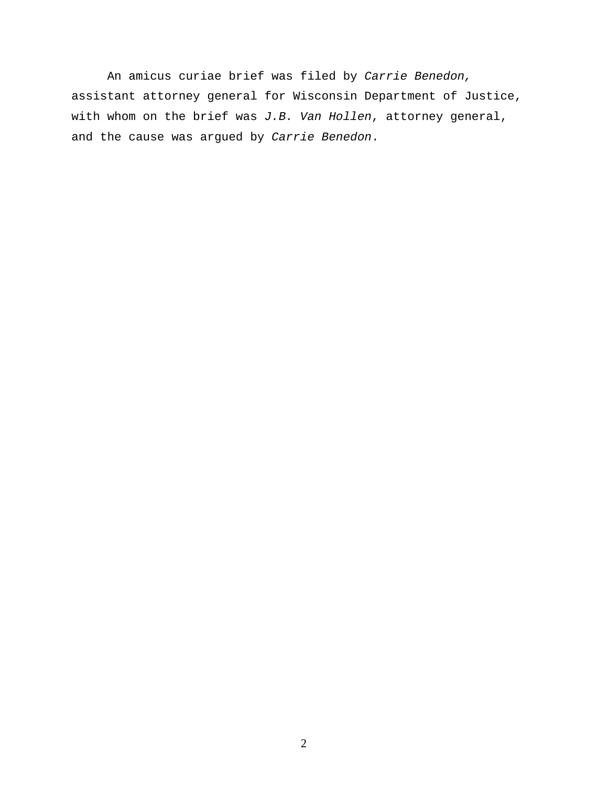An amicus curiae brief was filed by Carrie Benedon, assistant attorney general for Wisconsin Department of Justice, with whom on the brief was  $J.B.$  Van Hollen, attorney general, and the cause was argued by Carrie Benedon.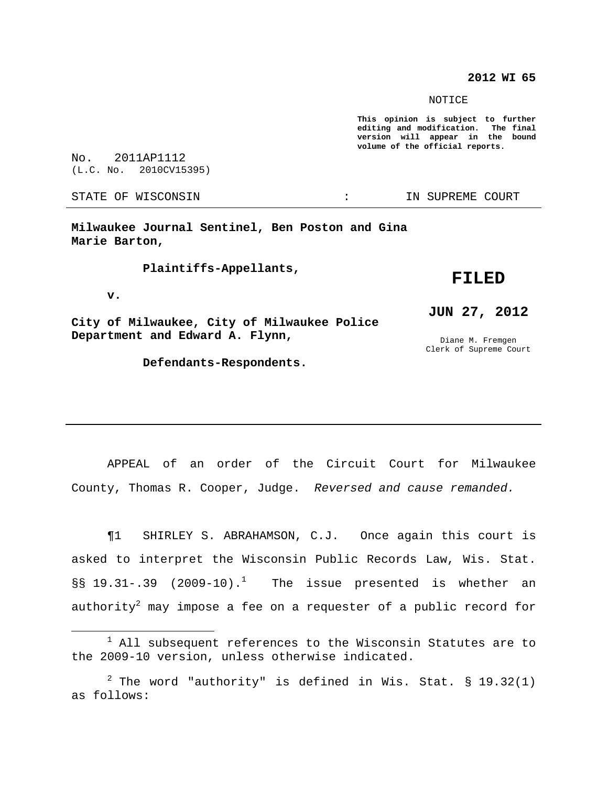## **2012 WI 65**

#### NOTICE

**This opinion is subject to further editing and modification. The final version will appear in the bound volume of the official reports.**

No. 2011AP1112 (L.C. No. 2010CV15395)

STATE OF WISCONSIN THE RESERVE STATE OF WISCONSIN STATE OF THE SUPREME COURT

**Milwaukee Journal Sentinel, Ben Poston and Gina Marie Barton,**

**Plaintiffs-Appellants,**

#### **v.**

**City of Milwaukee, City of Milwaukee Police Department and Edward A. Flynn,**

**Defendants-Respondents.**

# **FILED**

# **JUN 27, 2012**

Diane M. Fremgen Clerk of Supreme Court

APPEAL of an order of the Circuit Court for Milwaukee County, Thomas R. Cooper, Judge. Reversed and cause remanded.

¶1 SHIRLEY S. ABRAHAMSON, C.J. Once again this court is asked to interpret the Wisconsin Public Records Law, Wis. Stat.  $\S$ § 19.31-.39 (2009-10).<sup>1</sup> The issue presented is whether an authority $^2$  may impose a fee on a requester of a public record for

 $1$  All subsequent references to the Wisconsin Statutes are to the 2009-10 version, unless otherwise indicated.

 $2$  The word "authority" is defined in Wis. Stat. § 19.32(1) as follows: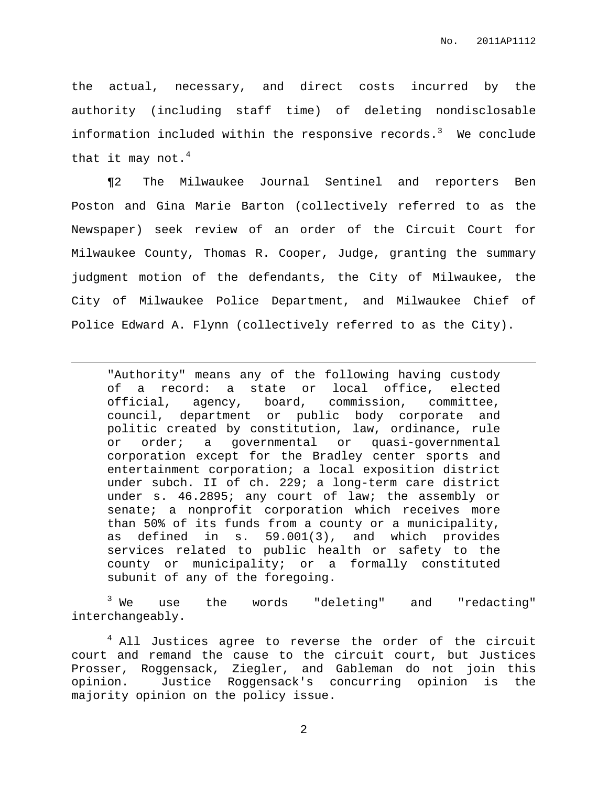the actual, necessary, and direct costs incurred by the authority (including staff time) of deleting nondisclosable information included within the responsive records. $^3$  We conclude that it may not.<sup>4</sup>

¶2 The Milwaukee Journal Sentinel and reporters Ben Poston and Gina Marie Barton (collectively referred to as the Newspaper) seek review of an order of the Circuit Court for Milwaukee County, Thomas R. Cooper, Judge, granting the summary judgment motion of the defendants, the City of Milwaukee, the City of Milwaukee Police Department, and Milwaukee Chief of Police Edward A. Flynn (collectively referred to as the City).

"Authority" means any of the following having custody of a record: a state or local office, elected official, agency, board, commission, committee, council, department or public body corporate and politic created by constitution, law, ordinance, rule or order; a governmental or quasi-governmental corporation except for the Bradley center sports and entertainment corporation; a local exposition district under subch. II of ch. 229; a long-term care district under s. 46.2895; any court of law; the assembly or senate; a nonprofit corporation which receives more than 50% of its funds from a county or a municipality, as defined in s. 59.001(3), and which provides services related to public health or safety to the county or municipality; or a formally constituted subunit of any of the foregoing.

 $3$  We use the words "deleting" and "redacting" interchangeably.

<sup>4</sup> All Justices agree to reverse the order of the circuit court and remand the cause to the circuit court, but Justices Prosser, Roggensack, Ziegler, and Gableman do not join this opinion. Justice Roggensack's concurring opinion is the majority opinion on the policy issue.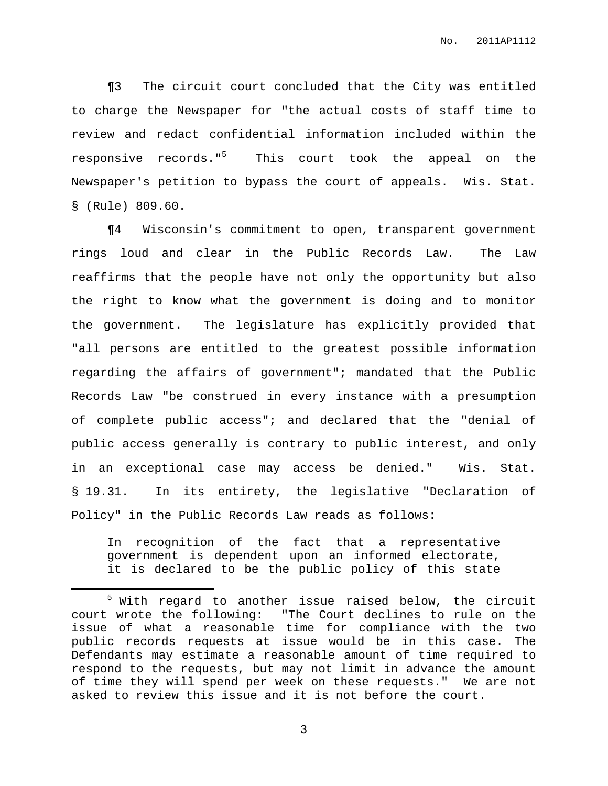¶3 The circuit court concluded that the City was entitled to charge the Newspaper for "the actual costs of staff time to review and redact confidential information included within the responsive records." <sup>5</sup> This court took the appeal on the Newspaper's petition to bypass the court of appeals. Wis. Stat. § (Rule) 809.60.

¶4 Wisconsin's commitment to open, transparent government rings loud and clear in the Public Records Law. The Law reaffirms that the people have not only the opportunity but also the right to know what the government is doing and to monitor the government. The legislature has explicitly provided that "all persons are entitled to the greatest possible information regarding the affairs of government"; mandated that the Public Records Law "be construed in every instance with a presumption of complete public access"; and declared that the "denial of public access generally is contrary to public interest, and only in an exceptional case may access be denied." Wis. Stat. § 19.31. In its entirety, the legislative "Declaration of Policy" in the Public Records Law reads as follows:

In recognition of the fact that a representative government is dependent upon an informed electorate, it is declared to be the public policy of this state

<sup>&</sup>lt;sup>5</sup> With regard to another issue raised below, the circuit court wrote the following: "The Court declines to rule on the issue of what a reasonable time for compliance with the two public records requests at issue would be in this case. The Defendants may estimate a reasonable amount of time required to respond to the requests, but may not limit in advance the amount of time they will spend per week on these requests." We are not asked to review this issue and it is not before the court.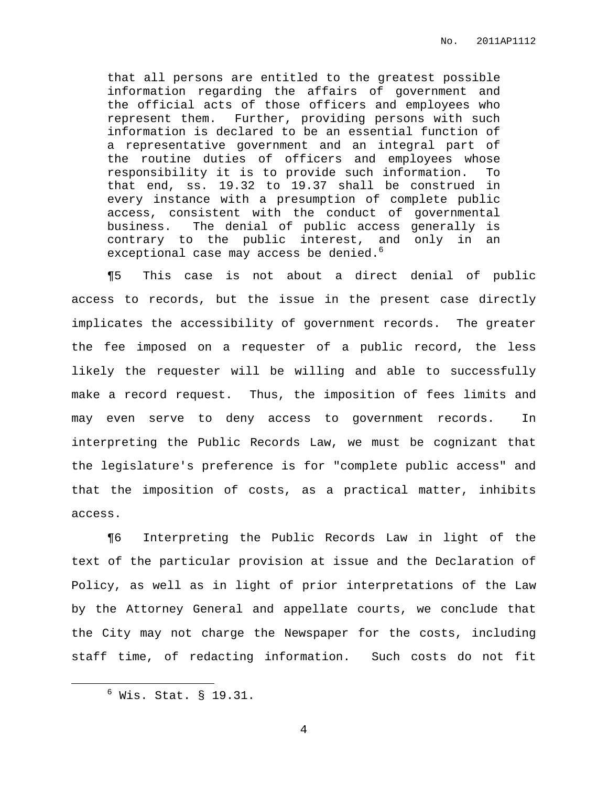that all persons are entitled to the greatest possible information regarding the affairs of government and the official acts of those officers and employees who represent them. Further, providing persons with such information is declared to be an essential function of a representative government and an integral part of the routine duties of officers and employees whose responsibility it is to provide such information. To that end, ss. 19.32 to 19.37 shall be construed in every instance with a presumption of complete public access, consistent with the conduct of governmental business. The denial of public access generally is contrary to the public interest, and only in an exceptional case may access be denied. $^{\rm 6}$ 

¶5 This case is not about a direct denial of public access to records, but the issue in the present case directly implicates the accessibility of government records. The greater the fee imposed on a requester of a public record, the less likely the requester will be willing and able to successfully make a record request. Thus, the imposition of fees limits and may even serve to deny access to government records. In interpreting the Public Records Law, we must be cognizant that the legislature's preference is for "complete public access" and that the imposition of costs, as a practical matter, inhibits access.

¶6 Interpreting the Public Records Law in light of the text of the particular provision at issue and the Declaration of Policy, as well as in light of prior interpretations of the Law by the Attorney General and appellate courts, we conclude that the City may not charge the Newspaper for the costs, including staff time, of redacting information. Such costs do not fit

 $6$  Wis. Stat. § 19.31.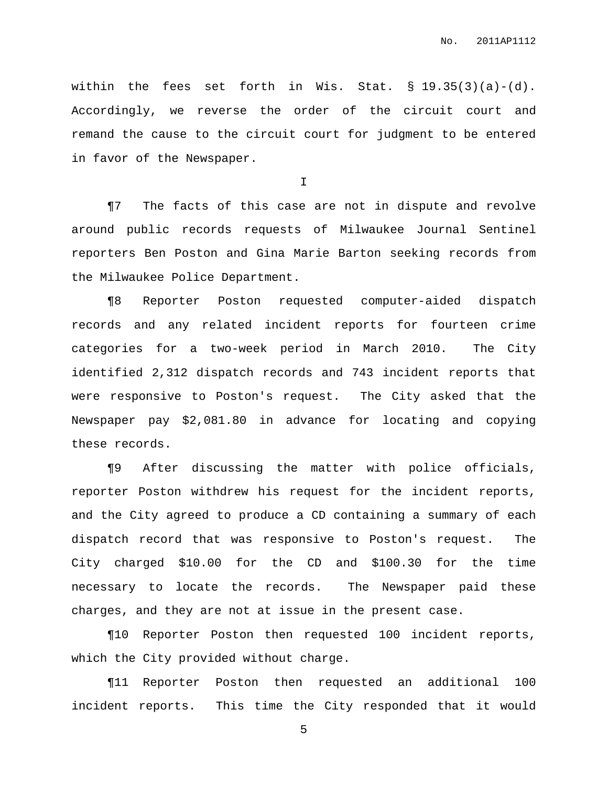within the fees set forth in Wis. Stat. § 19.35(3)(a)-(d). Accordingly, we reverse the order of the circuit court and remand the cause to the circuit court for judgment to be entered in favor of the Newspaper.

I

¶7 The facts of this case are not in dispute and revolve around public records requests of Milwaukee Journal Sentinel reporters Ben Poston and Gina Marie Barton seeking records from the Milwaukee Police Department.

¶8 Reporter Poston requested computer-aided dispatch records and any related incident reports for fourteen crime categories for a two-week period in March 2010. The City identified 2,312 dispatch records and 743 incident reports that were responsive to Poston's request. The City asked that the Newspaper pay \$2,081.80 in advance for locating and copying these records.

¶9 After discussing the matter with police officials, reporter Poston withdrew his request for the incident reports, and the City agreed to produce a CD containing a summary of each dispatch record that was responsive to Poston's request. The City charged \$10.00 for the CD and \$100.30 for the time necessary to locate the records. The Newspaper paid these charges, and they are not at issue in the present case.

¶10 Reporter Poston then requested 100 incident reports, which the City provided without charge.

¶11 Reporter Poston then requested an additional 100 incident reports. This time the City responded that it would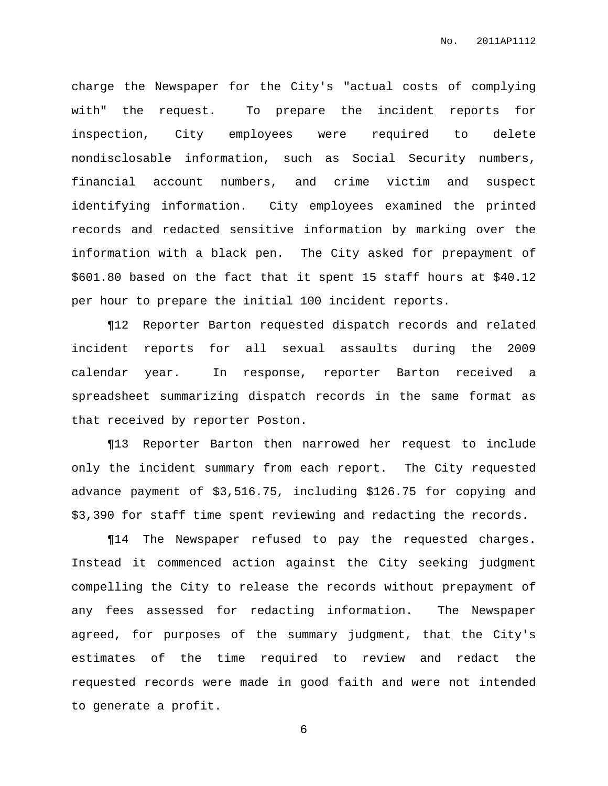charge the Newspaper for the City's "actual costs of complying with" the request. To prepare the incident reports for inspection, City employees were required to delete nondisclosable information, such as Social Security numbers, financial account numbers, and crime victim and suspect identifying information. City employees examined the printed records and redacted sensitive information by marking over the information with a black pen. The City asked for prepayment of \$601.80 based on the fact that it spent 15 staff hours at \$40.12 per hour to prepare the initial 100 incident reports.

¶12 Reporter Barton requested dispatch records and related incident reports for all sexual assaults during the 2009 calendar year. In response, reporter Barton received a spreadsheet summarizing dispatch records in the same format as that received by reporter Poston.

¶13 Reporter Barton then narrowed her request to include only the incident summary from each report. The City requested advance payment of \$3,516.75, including \$126.75 for copying and \$3,390 for staff time spent reviewing and redacting the records.

¶14 The Newspaper refused to pay the requested charges. Instead it commenced action against the City seeking judgment compelling the City to release the records without prepayment of any fees assessed for redacting information. The Newspaper agreed, for purposes of the summary judgment, that the City's estimates of the time required to review and redact the requested records were made in good faith and were not intended to generate a profit.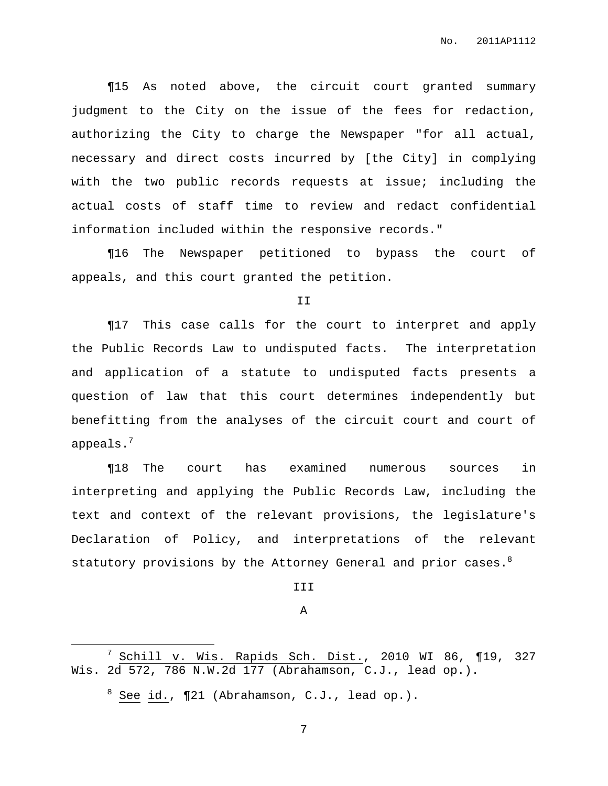¶15 As noted above, the circuit court granted summary judgment to the City on the issue of the fees for redaction, authorizing the City to charge the Newspaper "for all actual, necessary and direct costs incurred by [the City] in complying with the two public records requests at issue; including the actual costs of staff time to review and redact confidential information included within the responsive records."

¶16 The Newspaper petitioned to bypass the court of appeals, and this court granted the petition.

II

¶17 This case calls for the court to interpret and apply the Public Records Law to undisputed facts. The interpretation and application of a statute to undisputed facts presents a question of law that this court determines independently but benefitting from the analyses of the circuit court and court of appeals. $^7$ 

¶18 The court has examined numerous sources in interpreting and applying the Public Records Law, including the text and context of the relevant provisions, the legislature's Declaration of Policy, and interpretations of the relevant statutory provisions by the Attorney General and prior cases. $^8$ 

III

#### A

 $^7$  Schill v. Wis. Rapids Sch. Dist., 2010 WI 86, ¶19, 327 Wis. 2d 572, 786 N.W.2d 177 (Abrahamson, C.J., lead op.).

 $8$  See id.,  $\P$ 21 (Abrahamson, C.J., lead op.).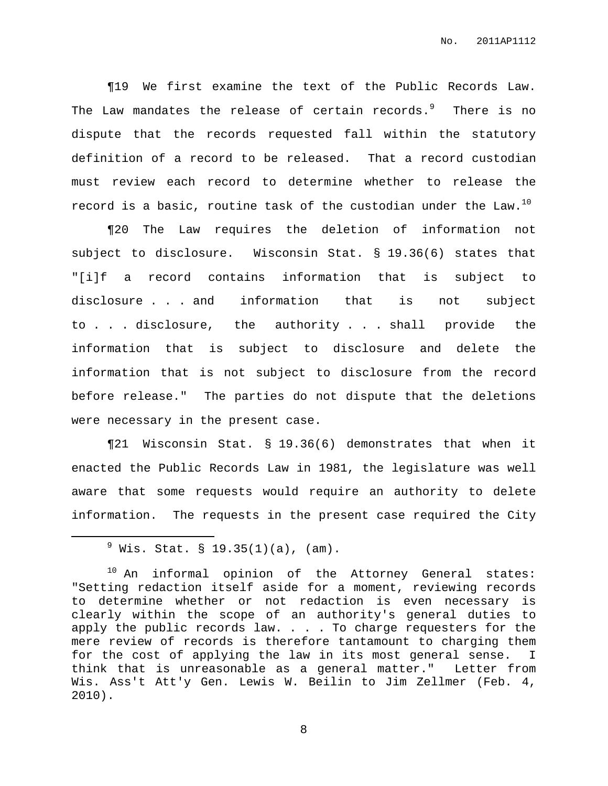¶19 We first examine the text of the Public Records Law. The Law mandates the release of certain records. $^9$  - There is no dispute that the records requested fall within the statutory definition of a record to be released. That a record custodian must review each record to determine whether to release the record is a basic, routine task of the custodian under the Law. $^{10}$ 

¶20 The Law requires the deletion of information not subject to disclosure. Wisconsin Stat. § 19.36(6) states that "[i]f a record contains information that is subject to disclosure . . . and information that is not subject to . . . disclosure, the authority . . . shall provide the information that is subject to disclosure and delete the information that is not subject to disclosure from the record before release." The parties do not dispute that the deletions were necessary in the present case.

¶21 Wisconsin Stat. § 19.36(6) demonstrates that when it enacted the Public Records Law in 1981, the legislature was well aware that some requests would require an authority to delete information. The requests in the present case required the City

 $^{9}$  Wis. Stat. § 19.35(1)(a), (am).

 $10$  An informal opinion of the Attorney General states: "Setting redaction itself aside for a moment, reviewing records to determine whether or not redaction is even necessary is clearly within the scope of an authority's general duties to apply the public records law. . . . To charge requesters for the mere review of records is therefore tantamount to charging them for the cost of applying the law in its most general sense. I think that is unreasonable as a general matter." Letter from Wis. Ass't Att'y Gen. Lewis W. Beilin to Jim Zellmer (Feb. 4, 2010).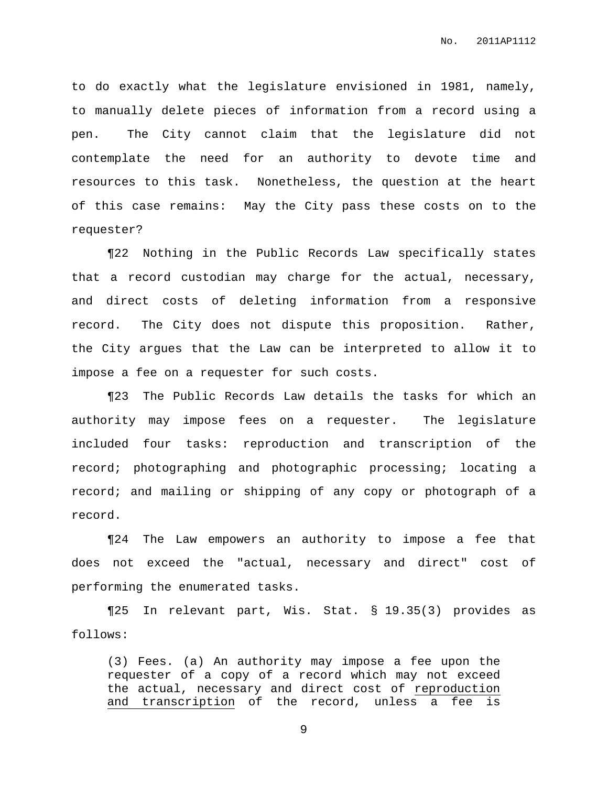to do exactly what the legislature envisioned in 1981, namely, to manually delete pieces of information from a record using a pen. The City cannot claim that the legislature did not contemplate the need for an authority to devote time and resources to this task. Nonetheless, the question at the heart of this case remains: May the City pass these costs on to the requester?

¶22 Nothing in the Public Records Law specifically states that a record custodian may charge for the actual, necessary, and direct costs of deleting information from a responsive record. The City does not dispute this proposition. Rather, the City argues that the Law can be interpreted to allow it to impose a fee on a requester for such costs.

¶23 The Public Records Law details the tasks for which an authority may impose fees on a requester. The legislature included four tasks: reproduction and transcription of the record; photographing and photographic processing; locating a record; and mailing or shipping of any copy or photograph of a record.

¶24 The Law empowers an authority to impose a fee that does not exceed the "actual, necessary and direct" cost of performing the enumerated tasks.

¶25 In relevant part, Wis. Stat. § 19.35(3) provides as follows:

(3) Fees. (a) An authority may impose a fee upon the requester of a copy of a record which may not exceed the actual, necessary and direct cost of reproduction and transcription of the record, unless a fee is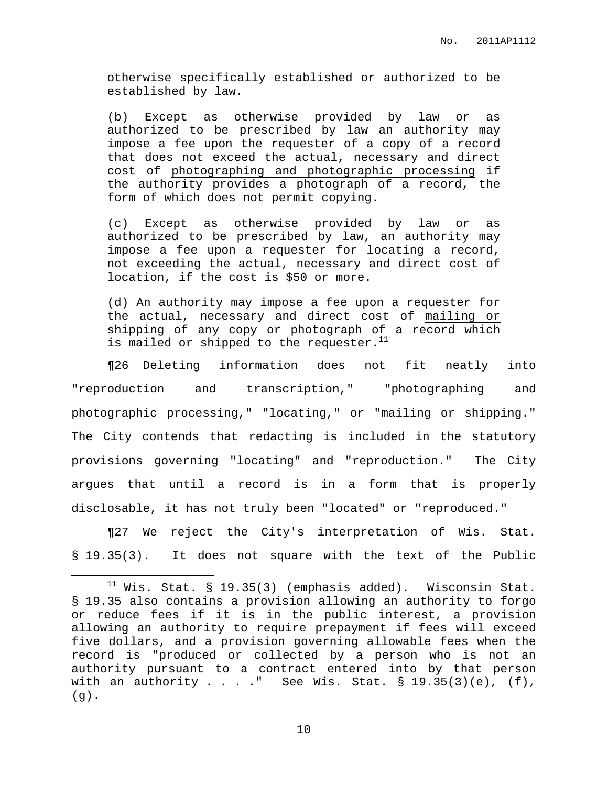otherwise specifically established or authorized to be established by law.

(b) Except as otherwise provided by law or as authorized to be prescribed by law an authority may impose a fee upon the requester of a copy of a record that does not exceed the actual, necessary and direct cost of photographing and photographic processing if the authority provides a photograph of a record, the form of which does not permit copying.

(c) Except as otherwise provided by law or as authorized to be prescribed by law, an authority may impose a fee upon a requester for locating a record, not exceeding the actual, necessary and direct cost of location, if the cost is \$50 or more.

(d) An authority may impose a fee upon a requester for the actual, necessary and direct cost of mailing or shipping of any copy or photograph of a record which is mailed or shipped to the requester.<sup>11</sup>

¶26 Deleting information does not fit neatly into "reproduction and transcription," "photographing and photographic processing," "locating," or "mailing or shipping." The City contends that redacting is included in the statutory provisions governing "locating" and "reproduction." The City argues that until a record is in a form that is properly disclosable, it has not truly been "located" or "reproduced."

¶27 We reject the City's interpretation of Wis. Stat. § 19.35(3). It does not square with the text of the Public

 $11$  Wis. Stat. § 19.35(3) (emphasis added). Wisconsin Stat. § 19.35 also contains a provision allowing an authority to forgo or reduce fees if it is in the public interest, a provision allowing an authority to require prepayment if fees will exceed five dollars, and a provision governing allowable fees when the record is "produced or collected by a person who is not an authority pursuant to a contract entered into by that person with an authority  $\ldots$  ." See Wis. Stat. § 19.35(3)(e), (f),  $(g)$ .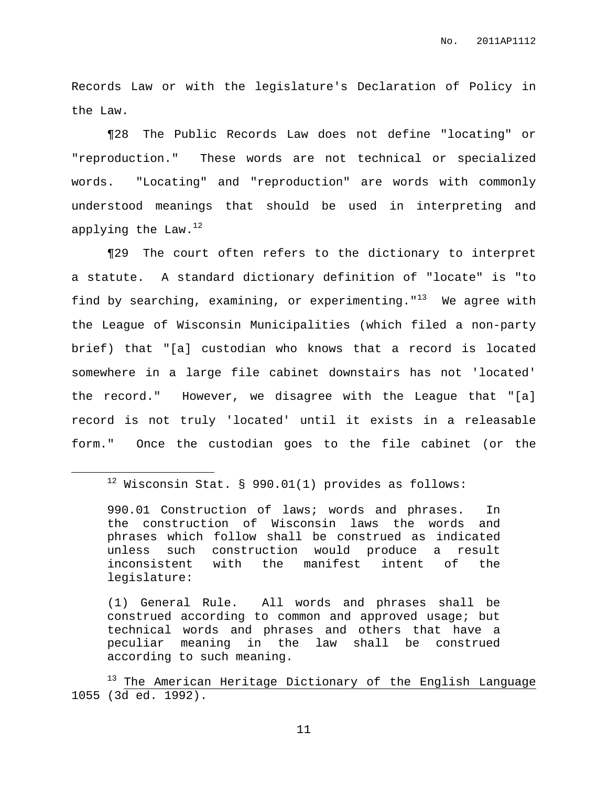Records Law or with the legislature's Declaration of Policy in the Law.

¶28 The Public Records Law does not define "locating" or "reproduction." These words are not technical or specialized words. "Locating" and "reproduction" are words with commonly understood meanings that should be used in interpreting and applying the Law. $^{12}$ 

¶29 The court often refers to the dictionary to interpret a statute. A standard dictionary definition of "locate" is "to find by searching, examining, or experimenting."<sup>13</sup> We agree with the League of Wisconsin Municipalities (which filed a non-party brief) that "[a] custodian who knows that a record is located somewhere in a large file cabinet downstairs has not 'located' the record." However, we disagree with the League that "[a] record is not truly 'located' until it exists in a releasable form." Once the custodian goes to the file cabinet (or the

<sup>13</sup> The American Heritage Dictionary of the English Language 1055 (3d ed. 1992).

 $12$  Wisconsin Stat. § 990.01(1) provides as follows:

<sup>990.01</sup> Construction of laws; words and phrases. In the construction of Wisconsin laws the words and phrases which follow shall be construed as indicated unless such construction would produce a result inconsistent with the manifest intent of the legislature:

<sup>(1)</sup> General Rule. All words and phrases shall be construed according to common and approved usage; but technical words and phrases and others that have a peculiar meaning in the law shall be construed according to such meaning.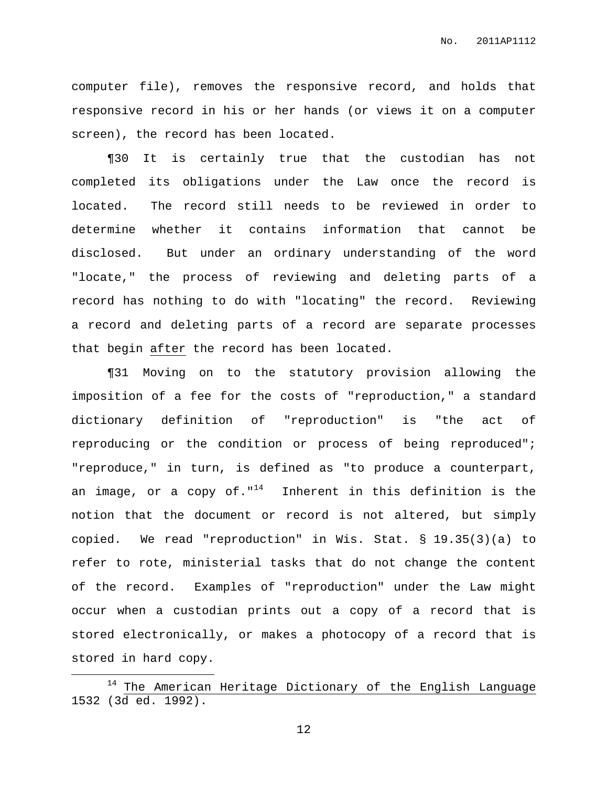computer file), removes the responsive record, and holds that responsive record in his or her hands (or views it on a computer screen), the record has been located.

¶30 It is certainly true that the custodian has not completed its obligations under the Law once the record is located. The record still needs to be reviewed in order to determine whether it contains information that cannot be disclosed. But under an ordinary understanding of the word "locate," the process of reviewing and deleting parts of a record has nothing to do with "locating" the record. Reviewing a record and deleting parts of a record are separate processes that begin after the record has been located.

¶31 Moving on to the statutory provision allowing the imposition of a fee for the costs of "reproduction," a standard dictionary definition of "reproduction" is "the act of reproducing or the condition or process of being reproduced"; "reproduce," in turn, is defined as "to produce a counterpart, an image, or a copy of."<sup>14</sup> Inherent in this definition is the notion that the document or record is not altered, but simply copied. We read "reproduction" in Wis. Stat. § 19.35(3)(a) to refer to rote, ministerial tasks that do not change the content of the record. Examples of "reproduction" under the Law might occur when a custodian prints out a copy of a record that is stored electronically, or makes a photocopy of a record that is stored in hard copy.

The American Heritage Dictionary of the English Language 1532 (3d ed. 1992).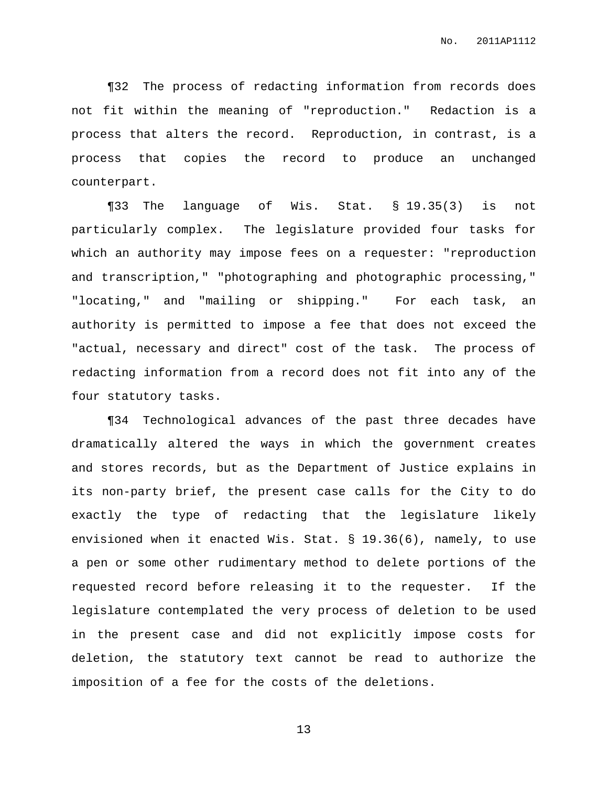¶32 The process of redacting information from records does not fit within the meaning of "reproduction." Redaction is a process that alters the record. Reproduction, in contrast, is a process that copies the record to produce an unchanged counterpart.

¶33 The language of Wis. Stat. § 19.35(3) is not particularly complex. The legislature provided four tasks for which an authority may impose fees on a requester: "reproduction and transcription," "photographing and photographic processing," "locating," and "mailing or shipping." For each task, an authority is permitted to impose a fee that does not exceed the "actual, necessary and direct" cost of the task. The process of redacting information from a record does not fit into any of the four statutory tasks.

¶34 Technological advances of the past three decades have dramatically altered the ways in which the government creates and stores records, but as the Department of Justice explains in its non-party brief, the present case calls for the City to do exactly the type of redacting that the legislature likely envisioned when it enacted Wis. Stat. § 19.36(6), namely, to use a pen or some other rudimentary method to delete portions of the requested record before releasing it to the requester. If the legislature contemplated the very process of deletion to be used in the present case and did not explicitly impose costs for deletion, the statutory text cannot be read to authorize the imposition of a fee for the costs of the deletions.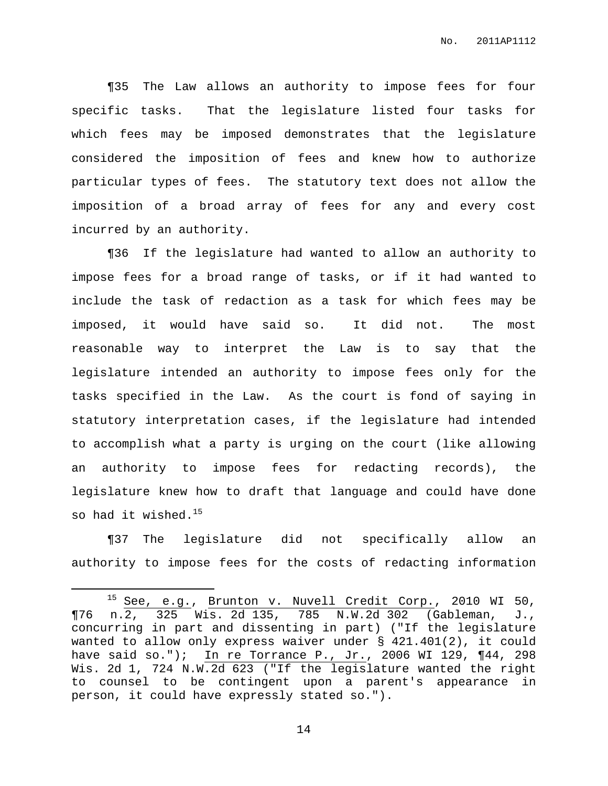¶35 The Law allows an authority to impose fees for four specific tasks. That the legislature listed four tasks for which fees may be imposed demonstrates that the legislature considered the imposition of fees and knew how to authorize particular types of fees. The statutory text does not allow the imposition of a broad array of fees for any and every cost incurred by an authority.

¶36 If the legislature had wanted to allow an authority to impose fees for a broad range of tasks, or if it had wanted to include the task of redaction as a task for which fees may be imposed, it would have said so. It did not. The most reasonable way to interpret the Law is to say that the legislature intended an authority to impose fees only for the tasks specified in the Law. As the court is fond of saying in statutory interpretation cases, if the legislature had intended to accomplish what a party is urging on the court (like allowing an authority to impose fees for redacting records), the legislature knew how to draft that language and could have done so had it wished. $^{15}$ 

¶37 The legislature did not specifically allow an authority to impose fees for the costs of redacting information

<sup>15</sup> See, e.g., Brunton v. Nuvell Credit Corp., 2010 WI 50, ¶76 n.2, 325 Wis. 2d 135, 785 N.W.2d 302 (Gableman, J., concurring in part and dissenting in part) ("If the legislature wanted to allow only express waiver under § 421.401(2), it could have said so."); In re Torrance P., Jr., 2006 WI 129, ¶44, 298 Wis. 2d 1, 724 N.W.2d 623 ("If the legislature wanted the right to counsel to be contingent upon a parent's appearance in person, it could have expressly stated so.").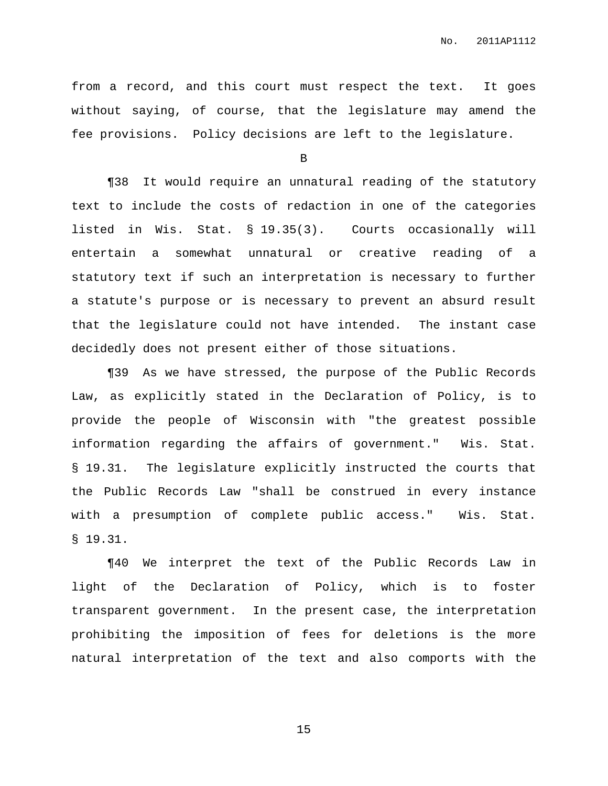from a record, and this court must respect the text. It goes without saying, of course, that the legislature may amend the fee provisions. Policy decisions are left to the legislature.

B

¶38 It would require an unnatural reading of the statutory text to include the costs of redaction in one of the categories listed in Wis. Stat. § 19.35(3). Courts occasionally will entertain a somewhat unnatural or creative reading of a statutory text if such an interpretation is necessary to further a statute's purpose or is necessary to prevent an absurd result that the legislature could not have intended. The instant case decidedly does not present either of those situations.

¶39 As we have stressed, the purpose of the Public Records Law, as explicitly stated in the Declaration of Policy, is to provide the people of Wisconsin with "the greatest possible information regarding the affairs of government." Wis. Stat. § 19.31. The legislature explicitly instructed the courts that the Public Records Law "shall be construed in every instance with a presumption of complete public access." Wis. Stat. § 19.31.

¶40 We interpret the text of the Public Records Law in light of the Declaration of Policy, which is to foster transparent government. In the present case, the interpretation prohibiting the imposition of fees for deletions is the more natural interpretation of the text and also comports with the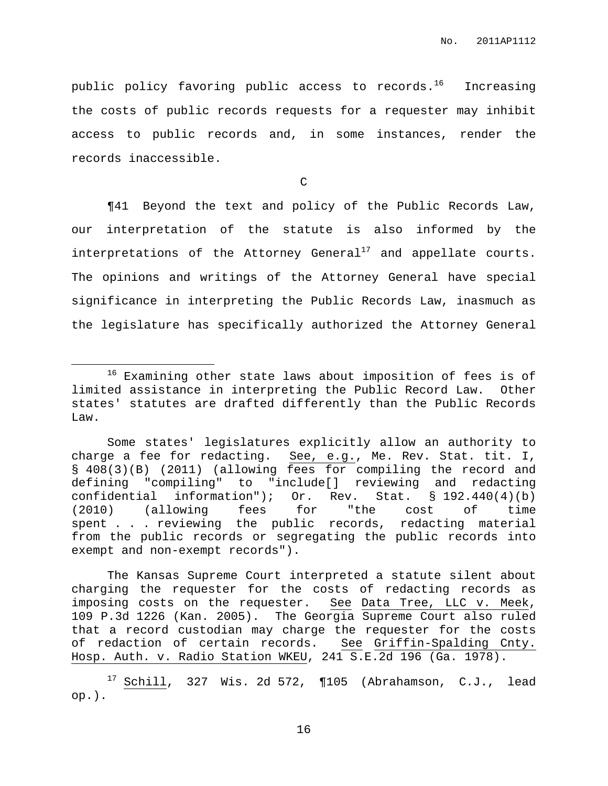public policy favoring public access to records.<sup>16</sup> Increasing the costs of public records requests for a requester may inhibit access to public records and, in some instances, render the records inaccessible.

 $\mathcal{C}$ 

¶41 Beyond the text and policy of the Public Records Law, our interpretation of the statute is also informed by the interpretations of the Attorney General<sup>17</sup> and appellate courts. The opinions and writings of the Attorney General have special significance in interpreting the Public Records Law, inasmuch as the legislature has specifically authorized the Attorney General

The Kansas Supreme Court interpreted a statute silent about charging the requester for the costs of redacting records as imposing costs on the requester. See Data Tree, LLC v. Meek, 109 P.3d 1226 (Kan. 2005). The Georgia Supreme Court also ruled that a record custodian may charge the requester for the costs of redaction of certain records. See Griffin-Spalding Cnty. Hosp. Auth. v. Radio Station WKEU, 241 S.E.2d 196 (Ga. 1978).

<sup>&</sup>lt;sup>16</sup> Examining other state laws about imposition of fees is of limited assistance in interpreting the Public Record Law. Other states' statutes are drafted differently than the Public Records Law.

Some states' legislatures explicitly allow an authority to charge a fee for redacting. See, e.g., Me. Rev. Stat. tit. I, § 408(3)(B) (2011) (allowing fees for compiling the record and defining "compiling" to "include[] reviewing and redacting confidential information"); Or. Rev. Stat. § 192.440(4)(b) (2010) (allowing fees for "the cost of time spent . . . reviewing the public records, redacting material from the public records or segregating the public records into exempt and non-exempt records").

 $17$  Schill, 327 Wis. 2d 572, ¶105 (Abrahamson, C.J., lead op.).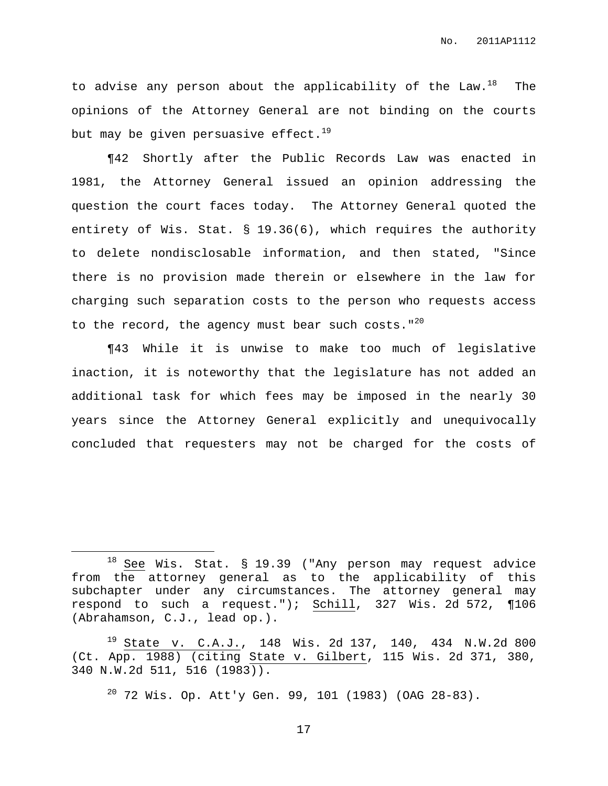to advise any person about the applicability of the Law.<sup>18</sup> The opinions of the Attorney General are not binding on the courts but may be given persuasive effect. $^{19}$ 

¶42 Shortly after the Public Records Law was enacted in 1981, the Attorney General issued an opinion addressing the question the court faces today. The Attorney General quoted the entirety of Wis. Stat. § 19.36(6), which requires the authority to delete nondisclosable information, and then stated, "Since there is no provision made therein or elsewhere in the law for charging such separation costs to the person who requests access to the record, the agency must bear such costs." $^{20}$ 

¶43 While it is unwise to make too much of legislative inaction, it is noteworthy that the legislature has not added an additional task for which fees may be imposed in the nearly 30 years since the Attorney General explicitly and unequivocally concluded that requesters may not be charged for the costs of

 $18$  See Wis. Stat. § 19.39 ("Any person may request advice from the attorney general as to the applicability of this subchapter under any circumstances. The attorney general may respond to such a request."); Schill, 327 Wis. 2d 572, ¶106 (Abrahamson, C.J., lead op.).

<sup>19</sup> State v. C.A.J., 148 Wis. 2d 137, 140, 434 N.W.2d 800 (Ct. App. 1988) (citing State v. Gilbert, 115 Wis. 2d 371, 380, 340 N.W.2d 511, 516 (1983)).

 $20$  72 Wis. Op. Att'y Gen. 99, 101 (1983) (OAG 28-83).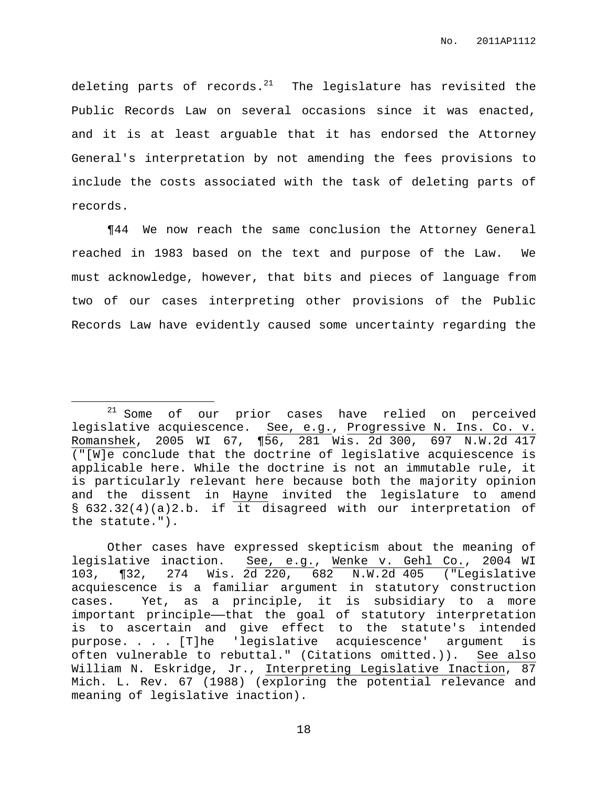deleting parts of records. $^{21}$  The legislature has revisited the Public Records Law on several occasions since it was enacted, and it is at least arguable that it has endorsed the Attorney General's interpretation by not amending the fees provisions to include the costs associated with the task of deleting parts of records.

¶44 We now reach the same conclusion the Attorney General reached in 1983 based on the text and purpose of the Law. We must acknowledge, however, that bits and pieces of language from two of our cases interpreting other provisions of the Public Records Law have evidently caused some uncertainty regarding the

<sup>&</sup>lt;sup>21</sup> Some of our prior cases have relied on perceived legislative acquiescence. See, e.g., Progressive N. Ins. Co. v. Romanshek, 2005 WI 67, ¶56, 281 Wis. 2d 300, 697 N.W.2d 417 ("[W]e conclude that the doctrine of legislative acquiescence is applicable here. While the doctrine is not an immutable rule, it is particularly relevant here because both the majority opinion and the dissent in Hayne invited the legislature to amend § 632.32(4)(a)2.b. if it disagreed with our interpretation of the statute.").

Other cases have expressed skepticism about the meaning of legislative inaction. See, e.g., Wenke v. Gehl Co., 2004 WI 103, ¶32, 274 Wis. 2d 220, 682 N.W.2d 405 ("Legislative acquiescence is a familiar argument in statutory construction cases. Yet, as a principle, it is subsidiary to a more important principle—that the goal of statutory interpretation is to ascertain and give effect to the statute's intended purpose. . . . [T]he 'legislative acquiescence' argument is often vulnerable to rebuttal." (Citations omitted.)). See also William N. Eskridge, Jr., Interpreting Legislative Inaction, 87 Mich. L. Rev. 67 (1988) (exploring the potential relevance and meaning of legislative inaction).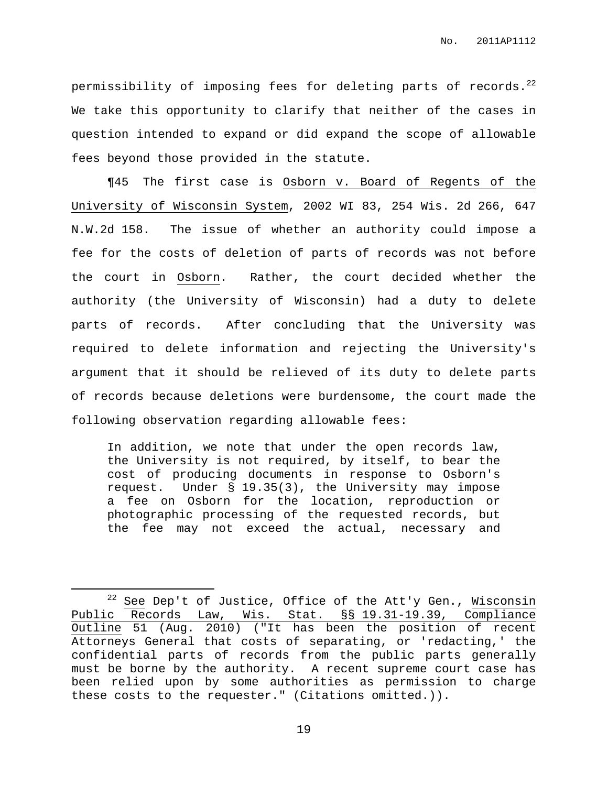permissibility of imposing fees for deleting parts of records. $^{22}$ We take this opportunity to clarify that neither of the cases in question intended to expand or did expand the scope of allowable fees beyond those provided in the statute.

¶45 The first case is Osborn v. Board of Regents of the University of Wisconsin System, 2002 WI 83, 254 Wis. 2d 266, 647 N.W.2d 158. The issue of whether an authority could impose a fee for the costs of deletion of parts of records was not before the court in Osborn. Rather, the court decided whether the authority (the University of Wisconsin) had a duty to delete parts of records. After concluding that the University was required to delete information and rejecting the University's argument that it should be relieved of its duty to delete parts of records because deletions were burdensome, the court made the following observation regarding allowable fees:

In addition, we note that under the open records law, the University is not required, by itself, to bear the cost of producing documents in response to Osborn's request. Under § 19.35(3), the University may impose a fee on Osborn for the location, reproduction or photographic processing of the requested records, but the fee may not exceed the actual, necessary and

 $22$  See Dep't of Justice, Office of the Att'y Gen., Wisconsin Public Records Law, Wis. Stat. §§ 19.31-19.39, Compliance Outline 51 (Aug. 2010) ("It has been the position of recent Attorneys General that costs of separating, or 'redacting,' the confidential parts of records from the public parts generally must be borne by the authority. A recent supreme court case has been relied upon by some authorities as permission to charge these costs to the requester." (Citations omitted.)).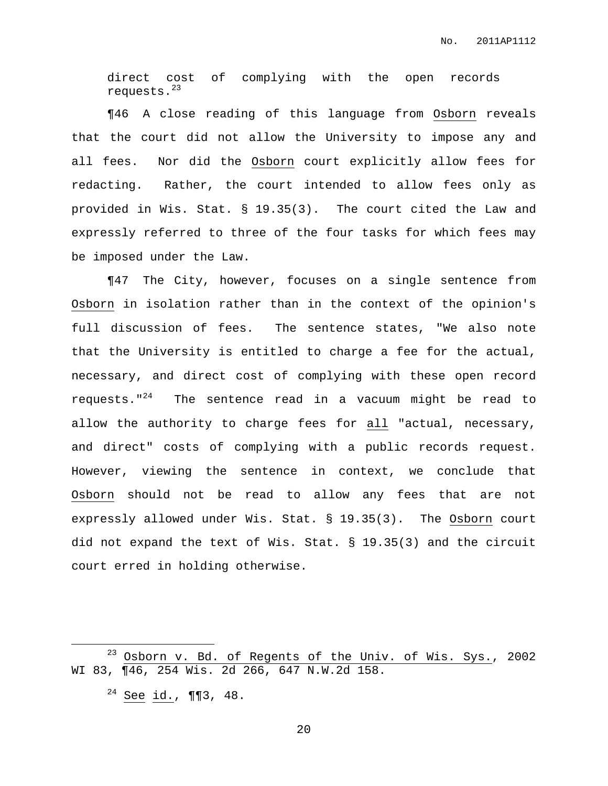direct cost of complying with the open records requests. 23

¶46 A close reading of this language from Osborn reveals that the court did not allow the University to impose any and all fees. Nor did the Osborn court explicitly allow fees for redacting. Rather, the court intended to allow fees only as provided in Wis. Stat. § 19.35(3). The court cited the Law and expressly referred to three of the four tasks for which fees may be imposed under the Law.

¶47 The City, however, focuses on a single sentence from Osborn in isolation rather than in the context of the opinion's full discussion of fees. The sentence states, "We also note that the University is entitled to charge a fee for the actual, necessary, and direct cost of complying with these open record requests." <sup>24</sup> The sentence read in a vacuum might be read to allow the authority to charge fees for all "actual, necessary, and direct" costs of complying with a public records request. However, viewing the sentence in context, we conclude that Osborn should not be read to allow any fees that are not expressly allowed under Wis. Stat. § 19.35(3). The Osborn court did not expand the text of Wis. Stat. § 19.35(3) and the circuit court erred in holding otherwise.

<sup>23</sup> Osborn v. Bd. of Regents of the Univ. of Wis. Sys., 2002 WI 83, ¶46, 254 Wis. 2d 266, 647 N.W.2d 158.

 $24$  See id., ¶¶3, 48.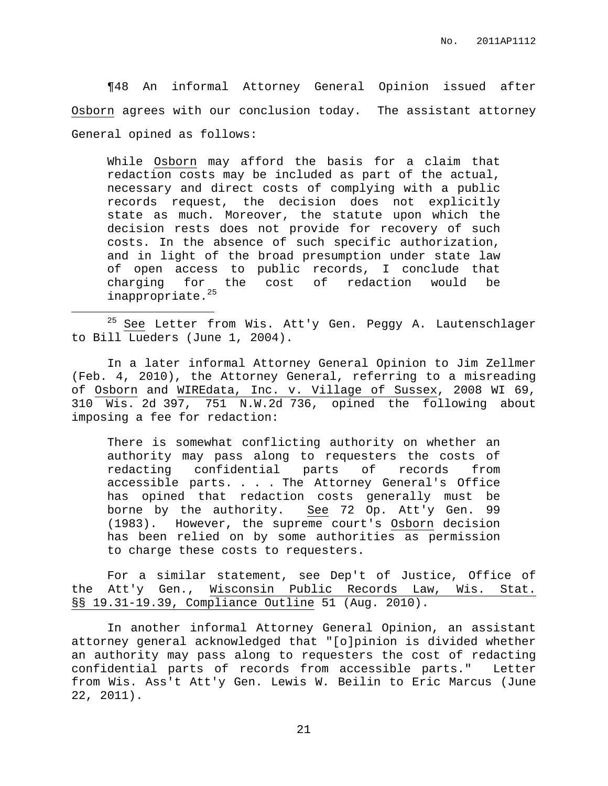¶48 An informal Attorney General Opinion issued after Osborn agrees with our conclusion today. The assistant attorney General opined as follows:

While Osborn may afford the basis for a claim that redaction costs may be included as part of the actual, necessary and direct costs of complying with a public records request, the decision does not explicitly state as much. Moreover, the statute upon which the decision rests does not provide for recovery of such costs. In the absence of such specific authorization, and in light of the broad presumption under state law of open access to public records, I conclude that charging for the cost of redaction would be inappropriate. 25

<sup>25</sup> See Letter from Wis. Att'y Gen. Peggy A. Lautenschlager to Bill Lueders (June 1, 2004).

In a later informal Attorney General Opinion to Jim Zellmer (Feb. 4, 2010), the Attorney General, referring to a misreading of Osborn and WIREdata, Inc. v. Village of Sussex, 2008 WI 69, 310 Wis. 2d 397, 751 N.W.2d 736, opined the following about imposing a fee for redaction:

There is somewhat conflicting authority on whether an authority may pass along to requesters the costs of redacting confidential parts of records from accessible parts. . . . The Attorney General's Office has opined that redaction costs generally must be borne by the authority. See 72 Op. Att'y Gen. 99 (1983). However, the supreme court's Osborn decision has been relied on by some authorities as permission to charge these costs to requesters.

For a similar statement, see Dep't of Justice, Office of the Att'y Gen., Wisconsin Public Records Law, Wis. Stat. §§ 19.31-19.39, Compliance Outline 51 (Aug. 2010).

In another informal Attorney General Opinion, an assistant attorney general acknowledged that "[o]pinion is divided whether an authority may pass along to requesters the cost of redacting confidential parts of records from accessible parts." Letter from Wis. Ass't Att'y Gen. Lewis W. Beilin to Eric Marcus (June 22, 2011).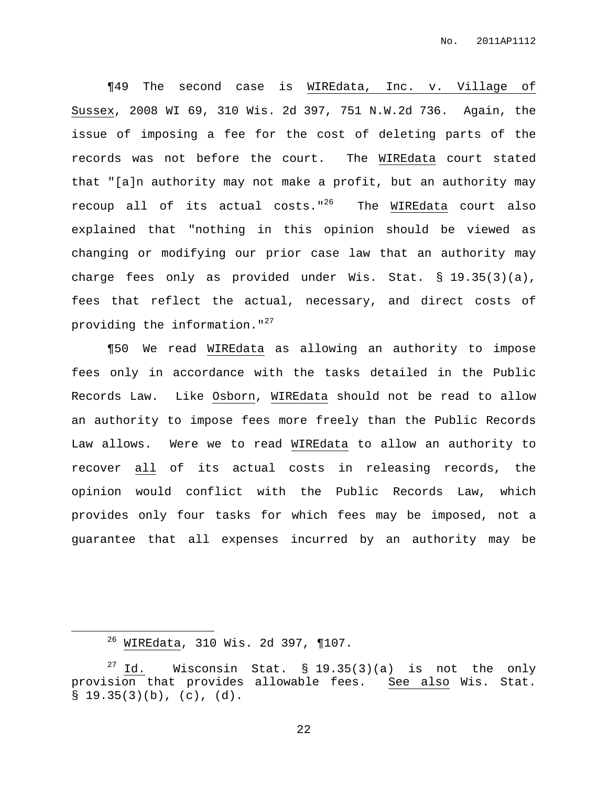¶49 The second case is WIREdata, Inc. v. Village of Sussex, 2008 WI 69, 310 Wis. 2d 397, 751 N.W.2d 736. Again, the issue of imposing a fee for the cost of deleting parts of the records was not before the court. The WIREdata court stated that "[a]n authority may not make a profit, but an authority may recoup all of its actual costs."<sup>26</sup> The WIREdata court also explained that "nothing in this opinion should be viewed as changing or modifying our prior case law that an authority may charge fees only as provided under Wis. Stat. § 19.35(3)(a), fees that reflect the actual, necessary, and direct costs of providing the information."<sup>27</sup>

¶50 We read WIREdata as allowing an authority to impose fees only in accordance with the tasks detailed in the Public Records Law. Like Osborn, WIREdata should not be read to allow an authority to impose fees more freely than the Public Records Law allows. Were we to read WIREdata to allow an authority to recover all of its actual costs in releasing records, the opinion would conflict with the Public Records Law, which provides only four tasks for which fees may be imposed, not a guarantee that all expenses incurred by an authority may be

<sup>26</sup> WIREdata, 310 Wis. 2d 397, ¶107.

<sup>&</sup>lt;sup>27</sup> Id. Wisconsin Stat. § 19.35(3)(a) is not the only provision that provides allowable fees. See also Wis. Stat.  $\S$  19.35(3)(b), (c), (d).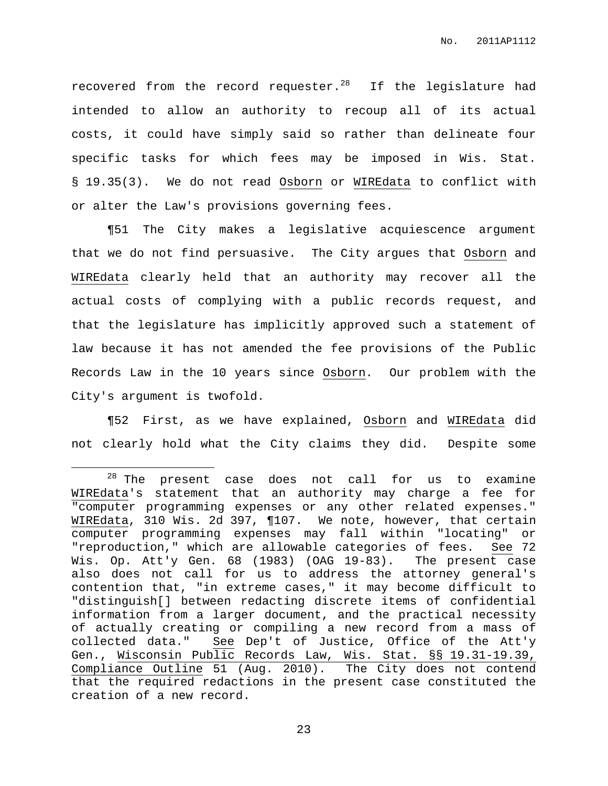recovered from the record requester. $^{28}$  If the legislature had intended to allow an authority to recoup all of its actual costs, it could have simply said so rather than delineate four specific tasks for which fees may be imposed in Wis. Stat. § 19.35(3). We do not read Osborn or WIREdata to conflict with or alter the Law's provisions governing fees.

¶51 The City makes a legislative acquiescence argument that we do not find persuasive. The City argues that Osborn and WIREdata clearly held that an authority may recover all the actual costs of complying with a public records request, and that the legislature has implicitly approved such a statement of law because it has not amended the fee provisions of the Public Records Law in the 10 years since Osborn. Our problem with the City's argument is twofold.

¶52 First, as we have explained, Osborn and WIREdata did not clearly hold what the City claims they did. Despite some

 $28$  The present case does not call for us to examine WIREdata's statement that an authority may charge a fee for "computer programming expenses or any other related expenses." WIREdata, 310 Wis. 2d 397, ¶107. We note, however, that certain computer programming expenses may fall within "locating" or "reproduction," which are allowable categories of fees. See 72 Wis. Op. Att'y Gen. 68 (1983) (OAG 19-83). The present case also does not call for us to address the attorney general's contention that, "in extreme cases," it may become difficult to "distinguish[] between redacting discrete items of confidential information from a larger document, and the practical necessity of actually creating or compiling a new record from a mass of collected data." See Dep't of Justice, Office of the Att'y Gen., Wisconsin Public Records Law, Wis. Stat. §§ 19.31-19.39, Compliance Outline 51 (Aug. 2010). The City does not contend that the required redactions in the present case constituted the creation of a new record.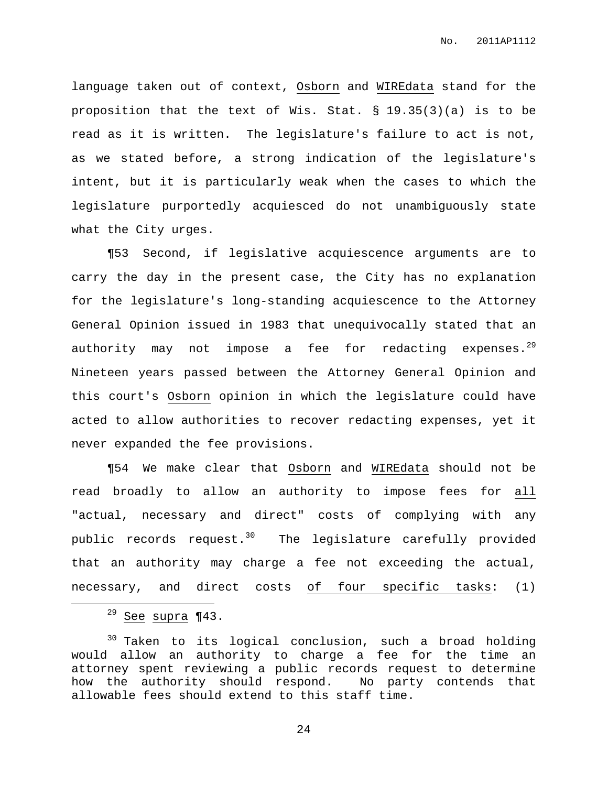language taken out of context, Osborn and WIREdata stand for the proposition that the text of Wis. Stat. § 19.35(3)(a) is to be read as it is written. The legislature's failure to act is not, as we stated before, a strong indication of the legislature's intent, but it is particularly weak when the cases to which the legislature purportedly acquiesced do not unambiguously state what the City urges.

¶53 Second, if legislative acquiescence arguments are to carry the day in the present case, the City has no explanation for the legislature's long-standing acquiescence to the Attorney General Opinion issued in 1983 that unequivocally stated that an authority may not impose a fee for redacting expenses.<sup>29</sup> Nineteen years passed between the Attorney General Opinion and this court's Osborn opinion in which the legislature could have acted to allow authorities to recover redacting expenses, yet it never expanded the fee provisions.

¶54 We make clear that Osborn and WIREdata should not be read broadly to allow an authority to impose fees for all "actual, necessary and direct" costs of complying with any public records request. $^{30}$  The legislature carefully provided that an authority may charge a fee not exceeding the actual, necessary, and direct costs of four specific tasks: (1)

 $29$  See supra  $\P$ 43.

<sup>&</sup>lt;sup>30</sup> Taken to its logical conclusion, such a broad holding would allow an authority to charge a fee for the time an attorney spent reviewing a public records request to determine how the authority should respond. No party contends that allowable fees should extend to this staff time.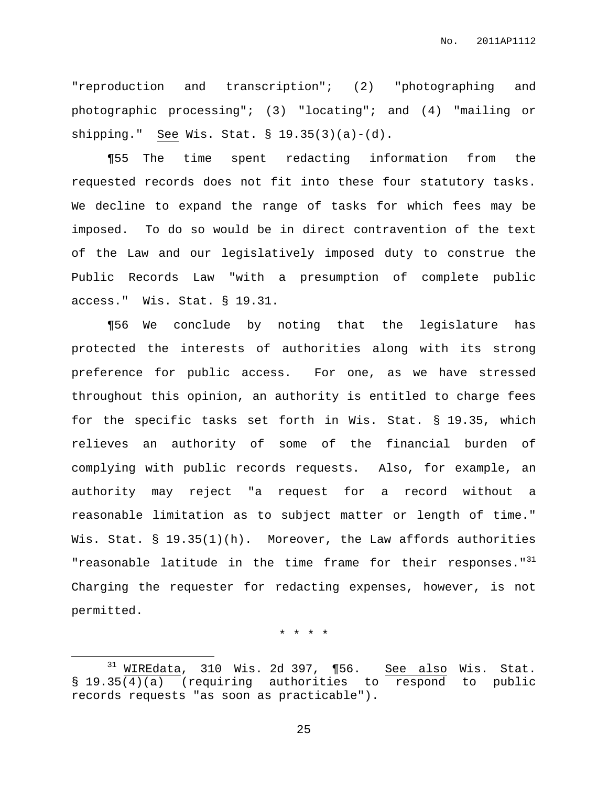"reproduction and transcription"; (2) "photographing and photographic processing"; (3) "locating"; and (4) "mailing or shipping." See Wis. Stat. § 19.35(3)(a)-(d).

¶55 The time spent redacting information from the requested records does not fit into these four statutory tasks. We decline to expand the range of tasks for which fees may be imposed. To do so would be in direct contravention of the text of the Law and our legislatively imposed duty to construe the Public Records Law "with a presumption of complete public access." Wis. Stat. § 19.31.

¶56 We conclude by noting that the legislature has protected the interests of authorities along with its strong preference for public access. For one, as we have stressed throughout this opinion, an authority is entitled to charge fees for the specific tasks set forth in Wis. Stat. § 19.35, which relieves an authority of some of the financial burden of complying with public records requests. Also, for example, an authority may reject "a request for a record without a reasonable limitation as to subject matter or length of time." Wis. Stat. § 19.35(1)(h). Moreover, the Law affords authorities "reasonable latitude in the time frame for their responses."<sup>31</sup> Charging the requester for redacting expenses, however, is not permitted.

\* \* \* \*

 $31$  WIREdata, 310 Wis. 2d 397, ¶56. See also Wis. Stat. § 19.35(4)(a) (requiring authorities to respond to public records requests "as soon as practicable").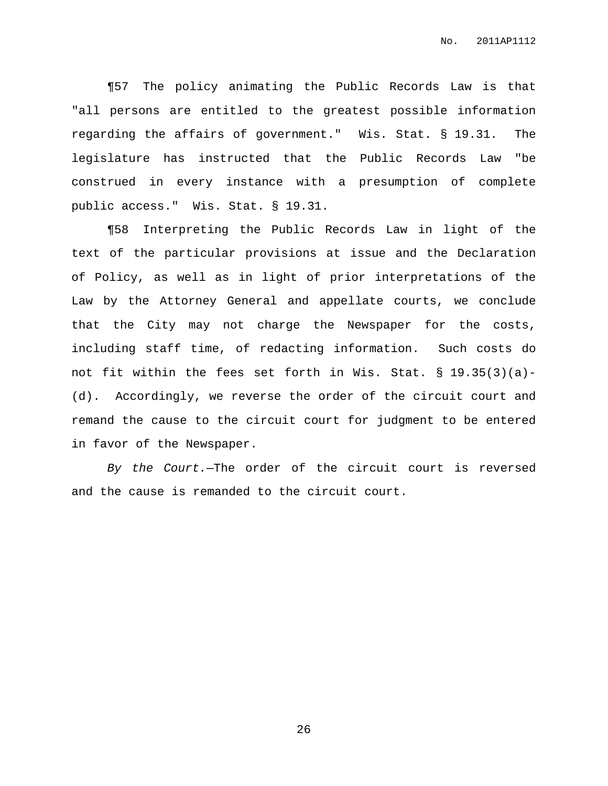¶57 The policy animating the Public Records Law is that "all persons are entitled to the greatest possible information regarding the affairs of government." Wis. Stat. § 19.31. The legislature has instructed that the Public Records Law "be construed in every instance with a presumption of complete public access." Wis. Stat. § 19.31.

¶58 Interpreting the Public Records Law in light of the text of the particular provisions at issue and the Declaration of Policy, as well as in light of prior interpretations of the Law by the Attorney General and appellate courts, we conclude that the City may not charge the Newspaper for the costs, including staff time, of redacting information. Such costs do not fit within the fees set forth in Wis. Stat. § 19.35(3)(a)- (d). Accordingly, we reverse the order of the circuit court and remand the cause to the circuit court for judgment to be entered in favor of the Newspaper.

By the Court.—The order of the circuit court is reversed and the cause is remanded to the circuit court.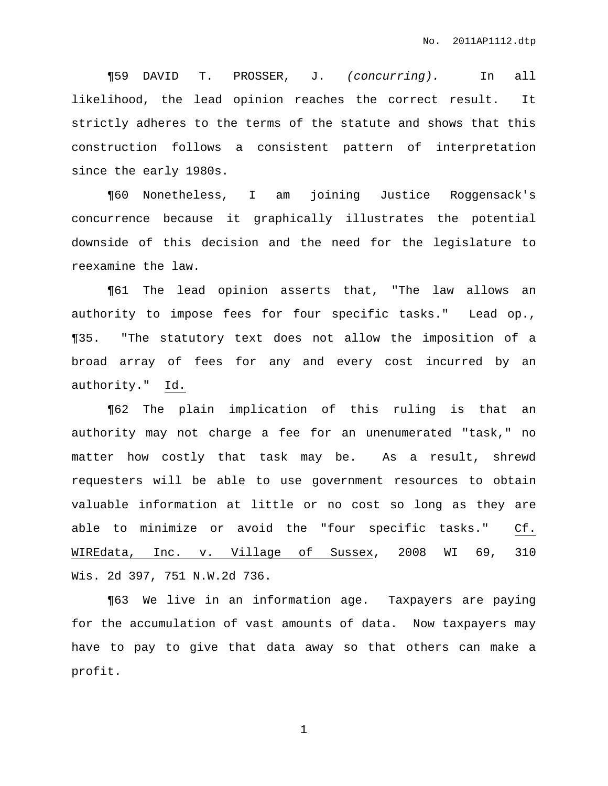¶59 DAVID T. PROSSER, J. (concurring). In all likelihood, the lead opinion reaches the correct result. It strictly adheres to the terms of the statute and shows that this construction follows a consistent pattern of interpretation since the early 1980s.

¶60 Nonetheless, I am joining Justice Roggensack's concurrence because it graphically illustrates the potential downside of this decision and the need for the legislature to reexamine the law.

¶61 The lead opinion asserts that, "The law allows an authority to impose fees for four specific tasks." Lead op., ¶35. "The statutory text does not allow the imposition of a broad array of fees for any and every cost incurred by an authority." Id.

¶62 The plain implication of this ruling is that an authority may not charge a fee for an unenumerated "task," no matter how costly that task may be. As a result, shrewd requesters will be able to use government resources to obtain valuable information at little or no cost so long as they are able to minimize or avoid the "four specific tasks." Cf. WIREdata, Inc. v. Village of Sussex, 2008 WI 69, 310 Wis. 2d 397, 751 N.W.2d 736.

¶63 We live in an information age. Taxpayers are paying for the accumulation of vast amounts of data. Now taxpayers may have to pay to give that data away so that others can make a profit.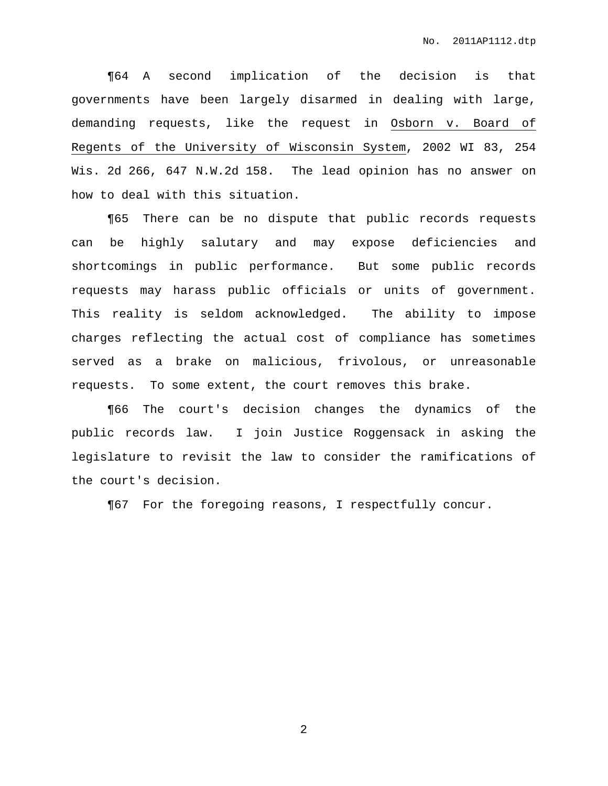¶64 A second implication of the decision is that governments have been largely disarmed in dealing with large, demanding requests, like the request in Osborn v. Board of Regents of the University of Wisconsin System, 2002 WI 83, 254 Wis. 2d 266, 647 N.W.2d 158. The lead opinion has no answer on how to deal with this situation.

¶65 There can be no dispute that public records requests can be highly salutary and may expose deficiencies and shortcomings in public performance. But some public records requests may harass public officials or units of government. This reality is seldom acknowledged. The ability to impose charges reflecting the actual cost of compliance has sometimes served as a brake on malicious, frivolous, or unreasonable requests. To some extent, the court removes this brake.

¶66 The court's decision changes the dynamics of the public records law. I join Justice Roggensack in asking the legislature to revisit the law to consider the ramifications of the court's decision.

¶67 For the foregoing reasons, I respectfully concur.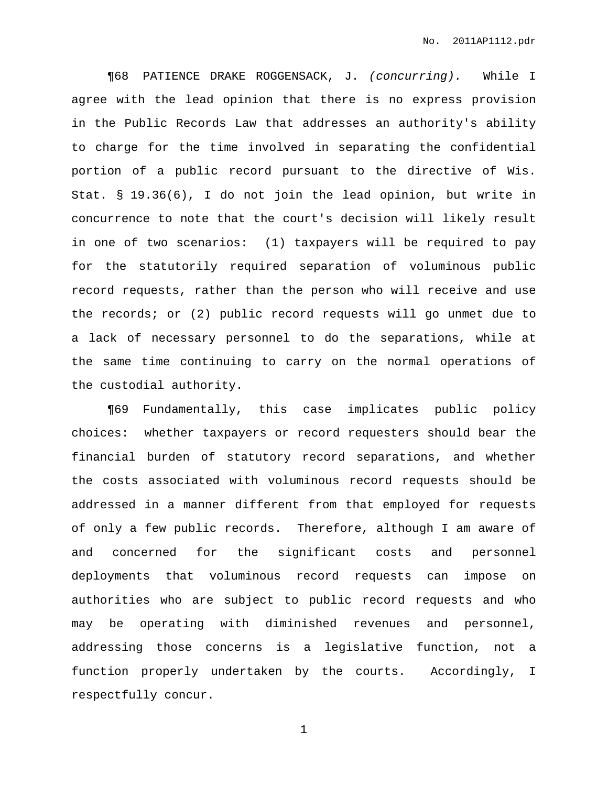¶68 PATIENCE DRAKE ROGGENSACK, J. (concurring). While I agree with the lead opinion that there is no express provision in the Public Records Law that addresses an authority's ability to charge for the time involved in separating the confidential portion of a public record pursuant to the directive of Wis. Stat. § 19.36(6), I do not join the lead opinion, but write in concurrence to note that the court's decision will likely result in one of two scenarios: (1) taxpayers will be required to pay for the statutorily required separation of voluminous public record requests, rather than the person who will receive and use the records; or (2) public record requests will go unmet due to a lack of necessary personnel to do the separations, while at the same time continuing to carry on the normal operations of the custodial authority.

¶69 Fundamentally, this case implicates public policy choices: whether taxpayers or record requesters should bear the financial burden of statutory record separations, and whether the costs associated with voluminous record requests should be addressed in a manner different from that employed for requests of only a few public records. Therefore, although I am aware of and concerned for the significant costs and personnel deployments that voluminous record requests can impose on authorities who are subject to public record requests and who may be operating with diminished revenues and personnel, addressing those concerns is a legislative function, not a function properly undertaken by the courts. Accordingly, I respectfully concur.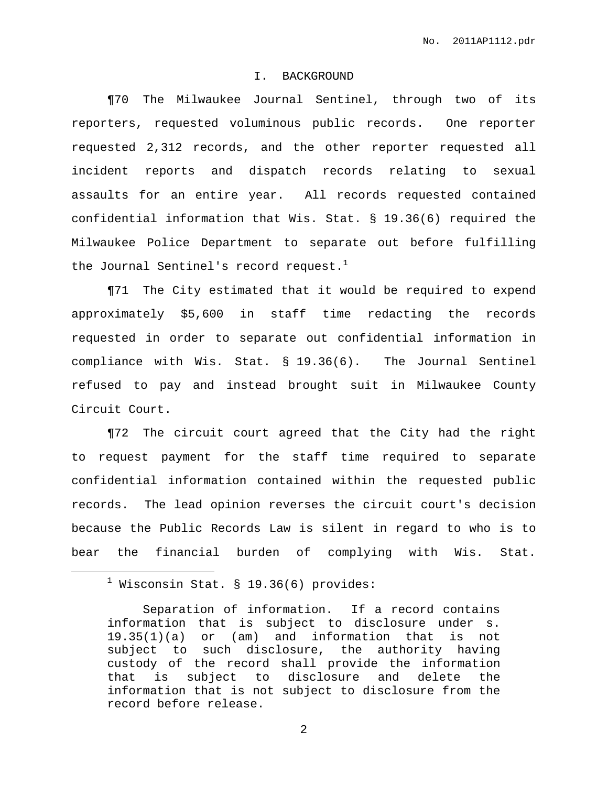### I. BACKGROUND

¶70 The Milwaukee Journal Sentinel, through two of its reporters, requested voluminous public records. One reporter requested 2,312 records, and the other reporter requested all incident reports and dispatch records relating to sexual assaults for an entire year. All records requested contained confidential information that Wis. Stat. § 19.36(6) required the Milwaukee Police Department to separate out before fulfilling the Journal Sentinel's record request. $^{\rm 1}$ 

¶71 The City estimated that it would be required to expend approximately \$5,600 in staff time redacting the records requested in order to separate out confidential information in compliance with Wis. Stat. § 19.36(6). The Journal Sentinel refused to pay and instead brought suit in Milwaukee County Circuit Court.

¶72 The circuit court agreed that the City had the right to request payment for the staff time required to separate confidential information contained within the requested public records. The lead opinion reverses the circuit court's decision because the Public Records Law is silent in regard to who is to bear the financial burden of complying with Wis. Stat.

 $<sup>1</sup>$  Wisconsin Stat. § 19.36(6) provides:</sup>

Separation of information. If a record contains information that is subject to disclosure under s. 19.35(1)(a) or (am) and information that is not subject to such disclosure, the authority having custody of the record shall provide the information that is subject to disclosure and delete the information that is not subject to disclosure from the record before release.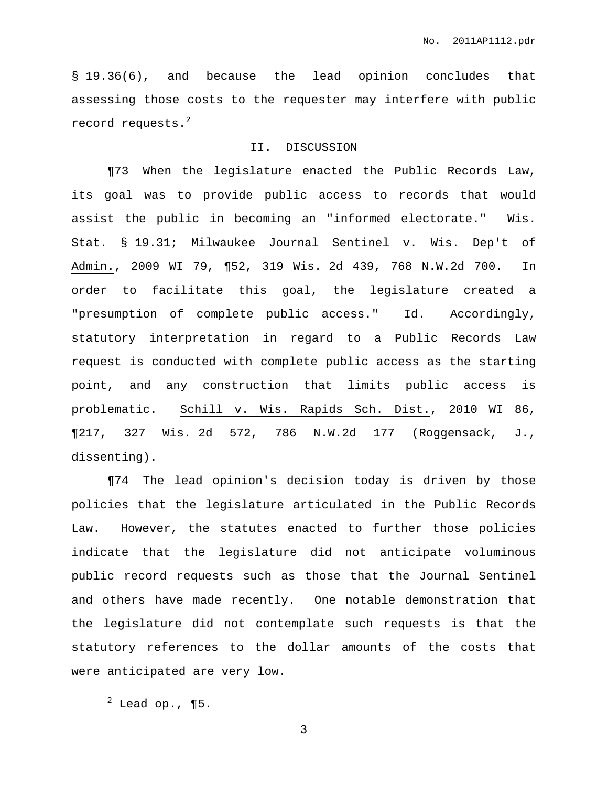§ 19.36(6), and because the lead opinion concludes that assessing those costs to the requester may interfere with public record requests. $^2$ 

## II. DISCUSSION

¶73 When the legislature enacted the Public Records Law, its goal was to provide public access to records that would assist the public in becoming an "informed electorate." Wis. Stat. § 19.31; Milwaukee Journal Sentinel v. Wis. Dep't of Admin., 2009 WI 79, ¶52, 319 Wis. 2d 439, 768 N.W.2d 700. In order to facilitate this goal, the legislature created a "presumption of complete public access." Id. Accordingly, statutory interpretation in regard to a Public Records Law request is conducted with complete public access as the starting point, and any construction that limits public access is problematic. Schill v. Wis. Rapids Sch. Dist., 2010 WI 86, ¶217, 327 Wis. 2d 572, 786 N.W.2d 177 (Roggensack, J., dissenting).

¶74 The lead opinion's decision today is driven by those policies that the legislature articulated in the Public Records Law. However, the statutes enacted to further those policies indicate that the legislature did not anticipate voluminous public record requests such as those that the Journal Sentinel and others have made recently. One notable demonstration that the legislature did not contemplate such requests is that the statutory references to the dollar amounts of the costs that were anticipated are very low.

 $2$  Lead op., ¶5.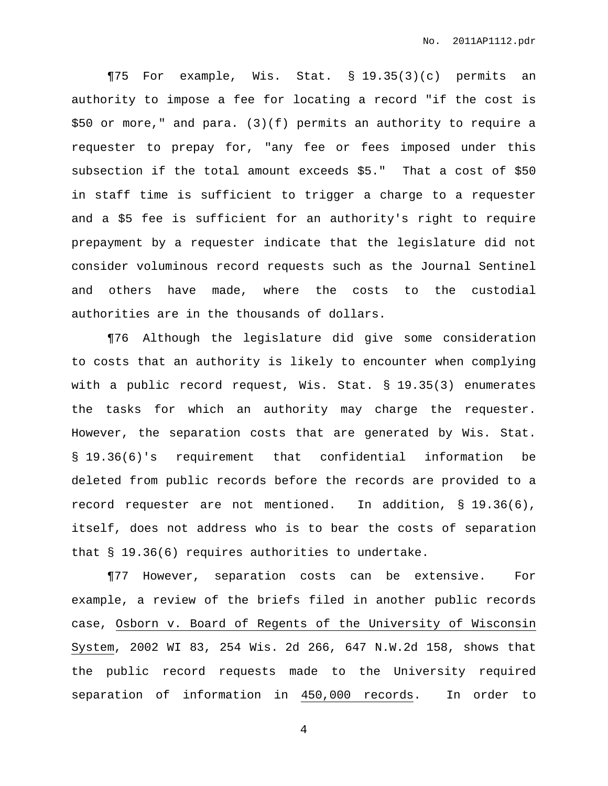¶75 For example, Wis. Stat. § 19.35(3)(c) permits an authority to impose a fee for locating a record "if the cost is \$50 or more," and para. (3)(f) permits an authority to require a requester to prepay for, "any fee or fees imposed under this subsection if the total amount exceeds \$5." That a cost of \$50 in staff time is sufficient to trigger a charge to a requester and a \$5 fee is sufficient for an authority's right to require prepayment by a requester indicate that the legislature did not consider voluminous record requests such as the Journal Sentinel and others have made, where the costs to the custodial authorities are in the thousands of dollars.

¶76 Although the legislature did give some consideration to costs that an authority is likely to encounter when complying with a public record request, Wis. Stat. § 19.35(3) enumerates the tasks for which an authority may charge the requester. However, the separation costs that are generated by Wis. Stat. § 19.36(6)'s requirement that confidential information be deleted from public records before the records are provided to a record requester are not mentioned. In addition, § 19.36(6), itself, does not address who is to bear the costs of separation that § 19.36(6) requires authorities to undertake.

¶77 However, separation costs can be extensive. For example, a review of the briefs filed in another public records case, Osborn v. Board of Regents of the University of Wisconsin System, 2002 WI 83, 254 Wis. 2d 266, 647 N.W.2d 158, shows that the public record requests made to the University required separation of information in 450,000 records. In order to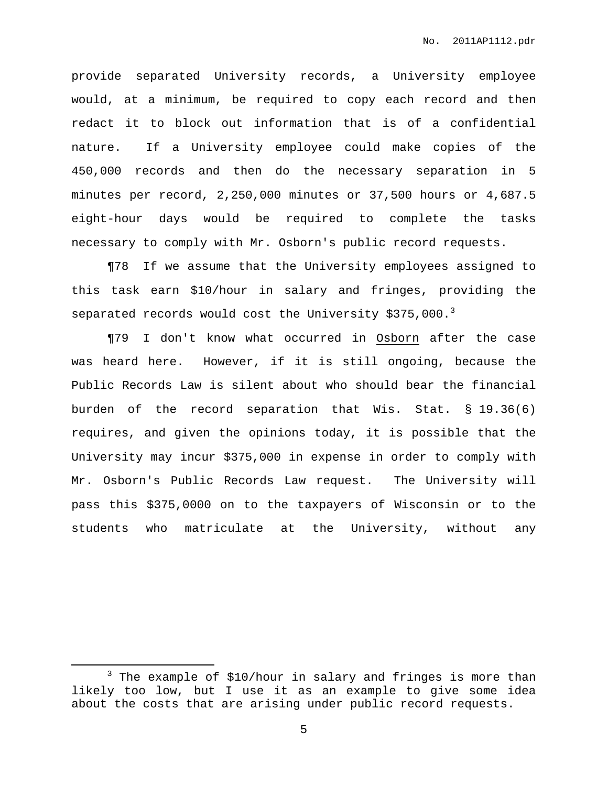provide separated University records, a University employee would, at a minimum, be required to copy each record and then redact it to block out information that is of a confidential nature. If a University employee could make copies of the 450,000 records and then do the necessary separation in 5 minutes per record, 2,250,000 minutes or 37,500 hours or 4,687.5 eight-hour days would be required to complete the tasks necessary to comply with Mr. Osborn's public record requests.

¶78 If we assume that the University employees assigned to this task earn \$10/hour in salary and fringes, providing the separated records would cost the University \$375,000.<sup>3</sup>

¶79 I don't know what occurred in Osborn after the case was heard here. However, if it is still ongoing, because the Public Records Law is silent about who should bear the financial burden of the record separation that Wis. Stat. § 19.36(6) requires, and given the opinions today, it is possible that the University may incur \$375,000 in expense in order to comply with Mr. Osborn's Public Records Law request. The University will pass this \$375,0000 on to the taxpayers of Wisconsin or to the students who matriculate at the University, without any

 $3$  The example of \$10/hour in salary and fringes is more than likely too low, but I use it as an example to give some idea about the costs that are arising under public record requests.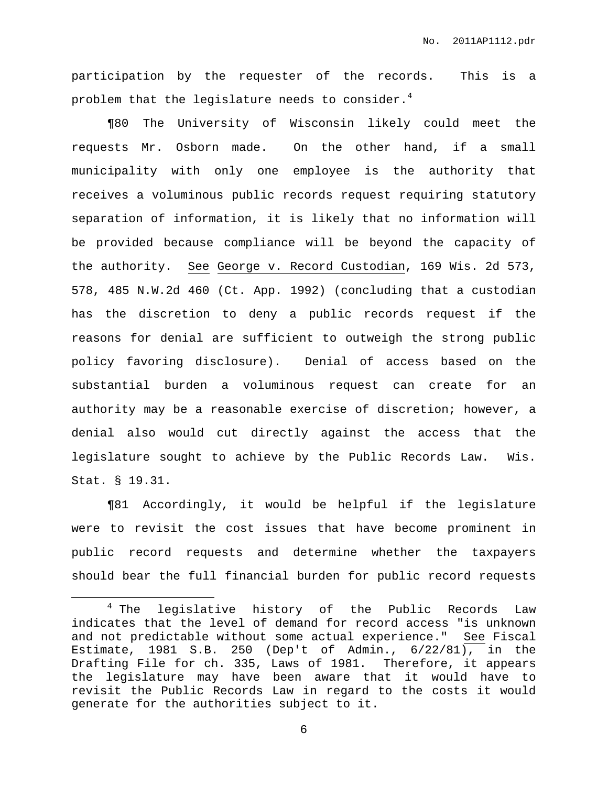participation by the requester of the records. This is a problem that the legislature needs to consider. $^4$ 

¶80 The University of Wisconsin likely could meet the requests Mr. Osborn made. On the other hand, if a small municipality with only one employee is the authority that receives a voluminous public records request requiring statutory separation of information, it is likely that no information will be provided because compliance will be beyond the capacity of the authority. See George v. Record Custodian, 169 Wis. 2d 573, 578, 485 N.W.2d 460 (Ct. App. 1992) (concluding that a custodian has the discretion to deny a public records request if the reasons for denial are sufficient to outweigh the strong public policy favoring disclosure). Denial of access based on the substantial burden a voluminous request can create for an authority may be a reasonable exercise of discretion; however, a denial also would cut directly against the access that the legislature sought to achieve by the Public Records Law. Wis. Stat. § 19.31.

¶81 Accordingly, it would be helpful if the legislature were to revisit the cost issues that have become prominent in public record requests and determine whether the taxpayers should bear the full financial burden for public record requests

<sup>&</sup>lt;sup>4</sup> The legislative history of the Public Records Law indicates that the level of demand for record access "is unknown and not predictable without some actual experience." See Fiscal Estimate, 1981 S.B. 250 (Dep't of Admin., 6/22/81), in the Drafting File for ch. 335, Laws of 1981. Therefore, it appears the legislature may have been aware that it would have to revisit the Public Records Law in regard to the costs it would generate for the authorities subject to it.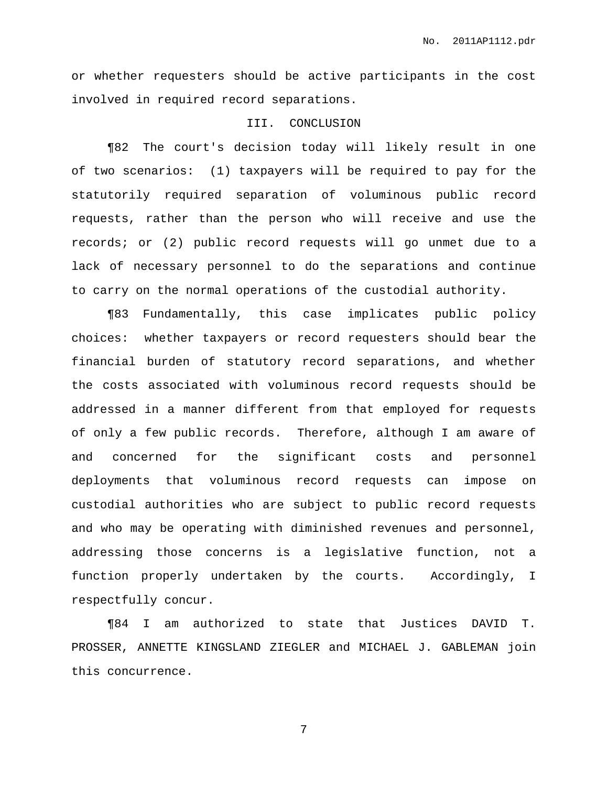or whether requesters should be active participants in the cost involved in required record separations.

## III. CONCLUSION

¶82 The court's decision today will likely result in one of two scenarios: (1) taxpayers will be required to pay for the statutorily required separation of voluminous public record requests, rather than the person who will receive and use the records; or (2) public record requests will go unmet due to a lack of necessary personnel to do the separations and continue to carry on the normal operations of the custodial authority.

¶83 Fundamentally, this case implicates public policy choices: whether taxpayers or record requesters should bear the financial burden of statutory record separations, and whether the costs associated with voluminous record requests should be addressed in a manner different from that employed for requests of only a few public records. Therefore, although I am aware of and concerned for the significant costs and personnel deployments that voluminous record requests can impose on custodial authorities who are subject to public record requests and who may be operating with diminished revenues and personnel, addressing those concerns is a legislative function, not a function properly undertaken by the courts. Accordingly, I respectfully concur.

¶84 I am authorized to state that Justices DAVID T. PROSSER, ANNETTE KINGSLAND ZIEGLER and MICHAEL J. GABLEMAN join this concurrence.